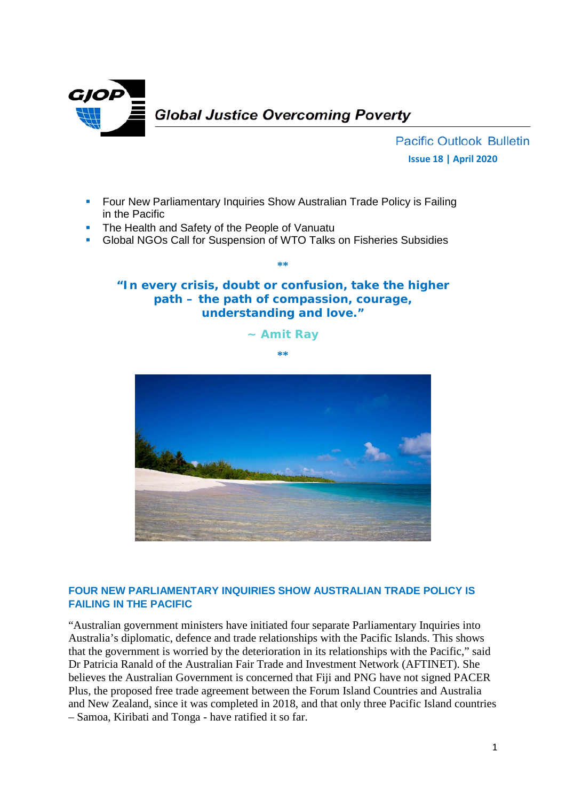

**Pacific Outlook Bulletin Issue 18 | April 2020**

- **FIDURY 10 Four New Parliamentary Inquiries Show Australian Trade Policy is Failing** in the Pacific
- **The Health and Safety of the People of Vanuatu**
- Global NGOs Call for Suspension of WTO Talks on Fisheries Subsidies

## **"In every crisis, doubt or confusion, take the higher path – the path of compassion, courage, understanding and love."**

**\*\***

**~ Amit Ray**

**\*\***



## **FOUR NEW PARLIAMENTARY INQUIRIES SHOW AUSTRALIAN TRADE POLICY IS FAILING IN THE PACIFIC**

"Australian government ministers have initiated four separate Parliamentary Inquiries into Australia's diplomatic, defence and trade relationships with the Pacific Islands. This shows that the government is worried by the deterioration in its relationships with the Pacific," said Dr Patricia Ranald of the Australian Fair Trade and Investment Network (AFTINET). She believes the Australian Government is concerned that Fiji and PNG have not signed PACER Plus, the proposed free trade agreement between the Forum Island Countries and Australia and New Zealand, since it was completed in 2018, and that only three Pacific Island countries – Samoa, Kiribati and Tonga - have ratified it so far.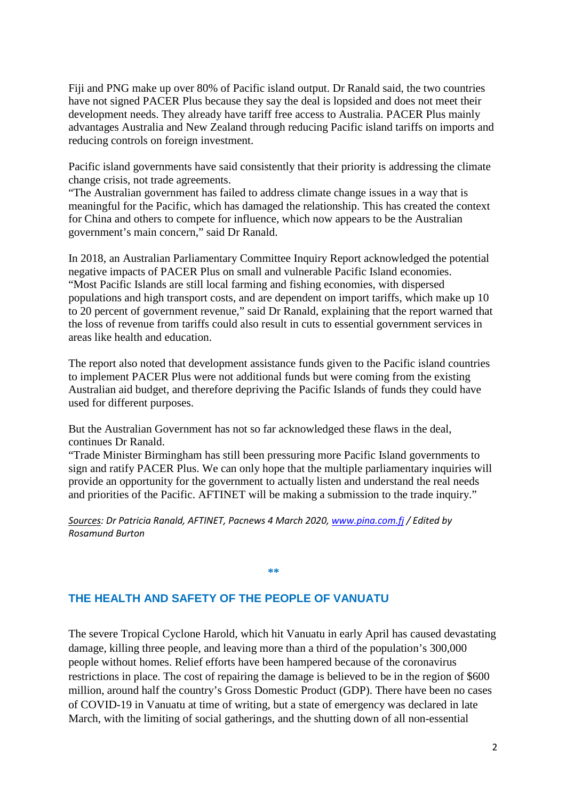Fiji and PNG make up over 80% of Pacific island output. Dr Ranald said, the two countries have not signed PACER Plus because they say the deal is lopsided and does not meet their development needs. They already have tariff free access to Australia. PACER Plus mainly advantages Australia and New Zealand through reducing Pacific island tariffs on imports and reducing controls on foreign investment.

Pacific island governments have said consistently that their priority is addressing the climate change crisis, not trade agreements.

"The Australian government has failed to address climate change issues in a way that is meaningful for the Pacific, which has damaged the relationship. This has created the context for China and others to compete for influence, which now appears to be the Australian government's main concern," said Dr Ranald.

In 2018, an Australian Parliamentary Committee Inquiry Report acknowledged the potential negative impacts of PACER Plus on small and vulnerable Pacific Island economies. "Most Pacific Islands are still local farming and fishing economies, with dispersed populations and high transport costs, and are dependent on import tariffs, which make up 10 to 20 percent of government revenue," said Dr Ranald, explaining that the report warned that the loss of revenue from tariffs could also result in cuts to essential government services in areas like health and education.

The report also noted that development assistance funds given to the Pacific island countries to implement PACER Plus were not additional funds but were coming from the existing Australian aid budget, and therefore depriving the Pacific Islands of funds they could have used for different purposes.

But the Australian Government has not so far acknowledged these flaws in the deal, continues Dr Ranald.

"Trade Minister Birmingham has still been pressuring more Pacific Island governments to sign and ratify PACER Plus. We can only hope that the multiple parliamentary inquiries will provide an opportunity for the government to actually listen and understand the real needs and priorities of the Pacific. AFTINET will be making a submission to the trade inquiry."

*Sources: Dr Patricia Ranald, AFTINET, Pacnews 4 March 2020[, www.pina.com.fj](http://www.pina.com.fj/) / Edited by Rosamund Burton*

**\*\***

**THE HEALTH AND SAFETY OF THE PEOPLE OF VANUATU**

The severe Tropical Cyclone Harold, which hit Vanuatu in early April has caused devastating damage, killing three people, and leaving more than a third of the population's 300,000 people without homes. Relief efforts have been hampered because of the coronavirus restrictions in place. The cost of repairing the damage is believed to be in the region of \$600 million, around half the country's Gross Domestic Product (GDP). There have been no cases of COVID-19 in Vanuatu at time of writing, but a state of emergency was declared in late March, with the limiting of social gatherings, and the shutting down of all non-essential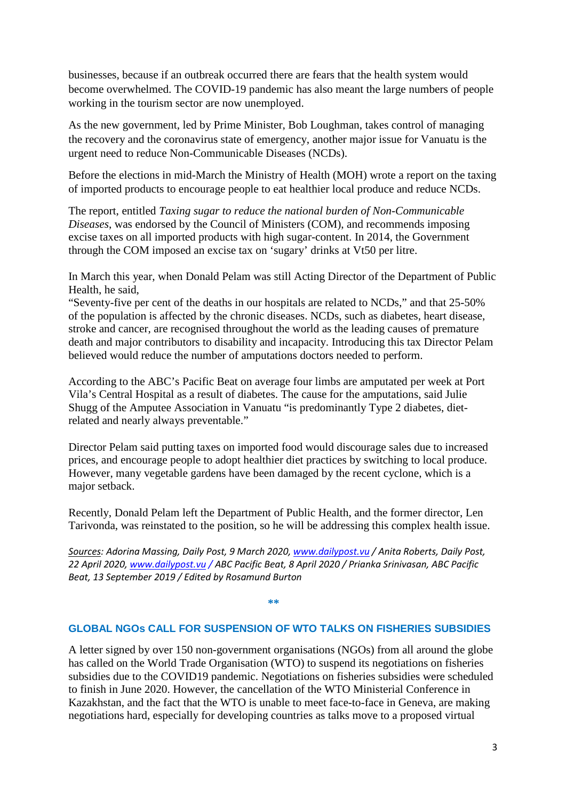businesses, because if an outbreak occurred there are fears that the health system would become overwhelmed. The COVID-19 pandemic has also meant the large numbers of people working in the tourism sector are now unemployed.

As the new government, led by Prime Minister, Bob Loughman, takes control of managing the recovery and the coronavirus state of emergency, another major issue for Vanuatu is the urgent need to reduce Non-Communicable Diseases (NCDs).

Before the elections in mid-March the Ministry of Health (MOH) wrote a report on the taxing of imported products to encourage people to eat healthier local produce and reduce NCDs.

The report, entitled *Taxing sugar to reduce the national burden of Non-Communicable Diseases*, was endorsed by the Council of Ministers (COM), and recommends imposing excise taxes on all imported products with high sugar-content. In 2014, the Government through the COM imposed an excise tax on 'sugary' drinks at Vt50 per litre.

In March this year, when Donald Pelam was still Acting Director of the Department of Public Health, he said,

"Seventy-five per cent of the deaths in our hospitals are related to NCDs," and that 25-50% of the population is affected by the chronic diseases. NCDs, such as diabetes, heart disease, stroke and cancer, are recognised throughout the world as the leading causes of premature death and major contributors to disability and incapacity. Introducing this tax Director Pelam believed would reduce the number of amputations doctors needed to perform.

According to the ABC's Pacific Beat on average four limbs are amputated per week at Port Vila's Central Hospital as a result of diabetes. The cause for the amputations, said Julie Shugg of the Amputee Association in Vanuatu "is predominantly Type 2 diabetes, dietrelated and nearly always preventable."

Director Pelam said putting taxes on imported food would discourage sales due to increased prices, and encourage people to adopt healthier diet practices by switching to local produce. However, many vegetable gardens have been damaged by the recent cyclone, which is a major setback.

Recently, Donald Pelam left the Department of Public Health, and the former director, Len Tarivonda, was reinstated to the position, so he will be addressing this complex health issue.

*Sources: Adorina Massing, Daily Post, 9 March 2020[, www.dailypost.vu](http://www.dailypost.vu/) / Anita Roberts, Daily Post, 22 April 2020[, www.dailypost.vu](http://www.dailypost.vu/) / ABC Pacific Beat, 8 April 2020 / Prianka Srinivasan, ABC Pacific Beat, 13 September 2019 / Edited by Rosamund Burton*

## **\*\***

## **GLOBAL NGOs CALL FOR SUSPENSION OF WTO TALKS ON FISHERIES SUBSIDIES**

A letter signed by over 150 non-government organisations (NGOs) from all around the globe has called on the World Trade Organisation (WTO) to suspend its negotiations on fisheries subsidies due to the COVID19 pandemic. Negotiations on fisheries subsidies were scheduled to finish in June 2020. However, the cancellation of the WTO Ministerial Conference in Kazakhstan, and the fact that the WTO is unable to meet face-to-face in Geneva, are making negotiations hard, especially for developing countries as talks move to a proposed virtual